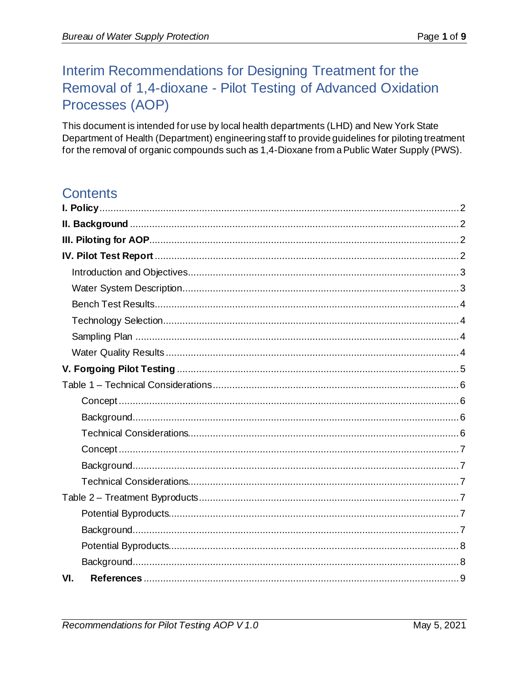# Interim Recommendations for Designing Treatment for the Removal of 1,4-dioxane - Pilot Testing of Advanced Oxidation Processes (AOP)

This document is intended for use by local health departments (LHD) and New York State Department of Health (Department) engineering staff to provide guidelines for piloting treatment for the removal of organic compounds such as 1,4-Dioxane from a Public Water Supply (PWS).

# **Contents**

| VI. |  |
|-----|--|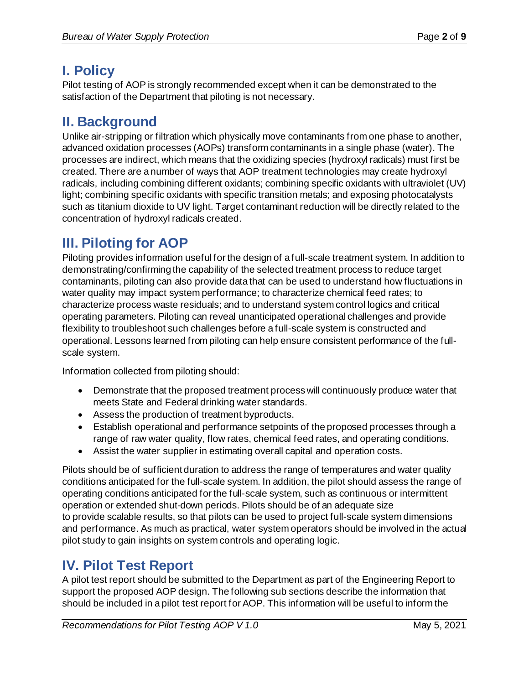# <span id="page-1-0"></span>**I. Policy**

Pilot testing of AOP is strongly recommended except when it can be demonstrated to the satisfaction of the Department that piloting is not necessary.

## <span id="page-1-1"></span>**II. Background**

Unlike air-stripping or filtration which physically move contaminants from one phase to another, advanced oxidation processes (AOPs) transform contaminants in a single phase (water). The processes are indirect, which means that the oxidizing species (hydroxyl radicals) must first be created. There are a number of ways that AOP treatment technologies may create hydroxyl radicals, including combining different oxidants; combining specific oxidants with ultraviolet (UV) light; combining specific oxidants with specific transition metals; and exposing photocatalysts such as titanium dioxide to UV light. Target contaminant reduction will be directly related to the concentration of hydroxyl radicals created.

# <span id="page-1-2"></span>**III. Piloting for AOP**

Piloting provides information useful for the design of a full-scale treatment system. In addition to demonstrating/confirming the capability of the selected treatment process to reduce target contaminants, piloting can also provide data that can be used to understand how fluctuations in water quality may impact system performance; to characterize chemical feed rates; to characterize process waste residuals; and to understand system control logics and critical operating parameters. Piloting can reveal unanticipated operational challenges and provide flexibility to troubleshoot such challenges before a full-scale system is constructed and operational. Lessons learned from piloting can help ensure consistent performance of the fullscale system.

Information collected from piloting should:

- Demonstrate that the proposed treatment process will continuously produce water that meets State and Federal drinking water standards.
- Assess the production of treatment byproducts.
- Establish operational and performance setpoints of the proposed processes through a range of raw water quality, flow rates, chemical feed rates, and operating conditions.
- Assist the water supplier in estimating overall capital and operation costs.

Pilots should be of sufficient duration to address the range of temperatures and water quality conditions anticipated for the full-scale system. In addition, the pilot should assess the range of operating conditions anticipated for the full-scale system, such as continuous or intermittent operation or extended shut-down periods. Pilots should be of an adequate size to provide scalable results, so that pilots can be used to project full-scale system dimensions and performance. As much as practical, water system operators should be involved in the actual pilot study to gain insights on system controls and operating logic.

# <span id="page-1-3"></span>**IV. Pilot Test Report**

A pilot test report should be submitted to the Department as part of the Engineering Report to support the proposed AOP design. The following sub sections describe the information that should be included in a pilot test report for AOP. This information will be useful to inform the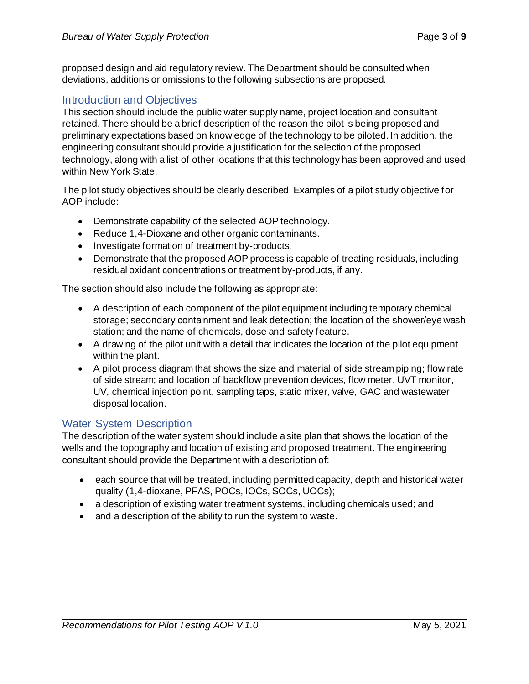proposed design and aid regulatory review. The Department should be consulted when deviations, additions or omissions to the following subsections are proposed.

#### <span id="page-2-0"></span>Introduction and Objectives

This section should include the public water supply name, project location and consultant retained. There should be a brief description of the reason the pilot is being proposed and preliminary expectations based on knowledge of the technology to be piloted. In addition, the engineering consultant should provide a justification for the selection of the proposed technology, along with a list of other locations that this technology has been approved and used within New York State.

The pilot study objectives should be clearly described. Examples of a pilot study objective for AOP include:

- Demonstrate capability of the selected AOP technology.
- Reduce 1,4-Dioxane and other organic contaminants.
- Investigate formation of treatment by-products.
- Demonstrate that the proposed AOP process is capable of treating residuals, including residual oxidant concentrations or treatment by-products, if any.

The section should also include the following as appropriate:

- A description of each component of the pilot equipment including temporary chemical storage; secondary containment and leak detection; the location of the shower/eye wash station; and the name of chemicals, dose and safety feature.
- A drawing of the pilot unit with a detail that indicates the location of the pilot equipment within the plant.
- A pilot process diagram that shows the size and material of side stream piping; flow rate of side stream; and location of backflow prevention devices, flow meter, UVT monitor, UV, chemical injection point, sampling taps, static mixer, valve, GAC and wastewater disposal location.

#### <span id="page-2-1"></span>Water System Description

The description of the water system should include a site plan that shows the location of the wells and the topography and location of existing and proposed treatment. The engineering consultant should provide the Department with a description of:

- each source that will be treated, including permitted capacity, depth and historical water quality (1,4-dioxane, PFAS, POCs, IOCs, SOCs, UOCs);
- a description of existing water treatment systems, including chemicals used; and
- <span id="page-2-2"></span>• and a description of the ability to run the system to waste.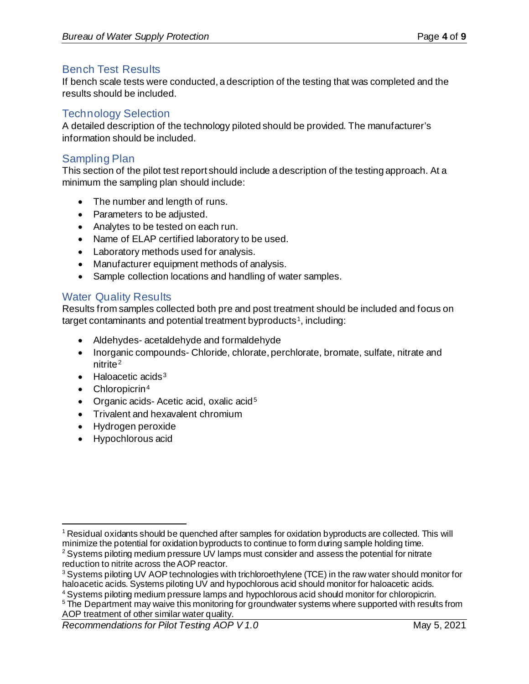#### Bench Test Results

If bench scale tests were conducted, a description of the testing that was completed and the results should be included.

#### <span id="page-3-0"></span>Technology Selection

A detailed description of the technology piloted should be provided. The manufacturer's information should be included.

#### <span id="page-3-1"></span>Sampling Plan

This section of the pilot test report should include a description of the testing approach. At a minimum the sampling plan should include:

- The number and length of runs.
- Parameters to be adjusted.
- Analytes to be tested on each run.
- Name of ELAP certified laboratory to be used.
- Laboratory methods used for analysis.
- Manufacturer equipment methods of analysis.
- Sample collection locations and handling of water samples.

#### <span id="page-3-2"></span>Water Quality Results

Results from samples collected both pre and post treatment should be included and focus on target contaminants and potential treatment byproducts<sup>[1](#page-3-3)</sup>, including:

- Aldehydes- acetaldehyde and formaldehyde
- Inorganic compounds- Chloride, chlorate, perchlorate, bromate, sulfate, nitrate and nitrite<sup>[2](#page-3-4)</sup>
- Haloacetic acids<sup>[3](#page-3-5)</sup>
- Chloropicrin<sup>[4](#page-3-6)</sup>
- Organic acids-Acetic acid, oxalic acid<sup>[5](#page-3-7)</sup>
- Trivalent and hexavalent chromium
- Hydrogen peroxide
- Hypochlorous acid

<span id="page-3-6"></span><sup>4</sup> Systems piloting medium pressure lamps and hypochlorous acid should monitor for chloropicrin.

<span id="page-3-3"></span> $1$  Residual oxidants should be quenched after samples for oxidation byproducts are collected. This will minimize the potential for oxidation byproducts to continue to form during sample holding time.

<span id="page-3-4"></span> $2$  Systems piloting medium pressure UV lamps must consider and assess the potential for nitrate reduction to nitrite across the AOP reactor.

<span id="page-3-5"></span><sup>&</sup>lt;sup>3</sup> Systems piloting UV AOP technologies with trichloroethylene (TCE) in the raw water should monitor for haloacetic acids. Systems piloting UV and hypochlorous acid should monitor for haloacetic acids.

<span id="page-3-7"></span><sup>&</sup>lt;sup>5</sup> The Department may waive this monitoring for groundwater systems where supported with results from AOP treatment of other similar water quality.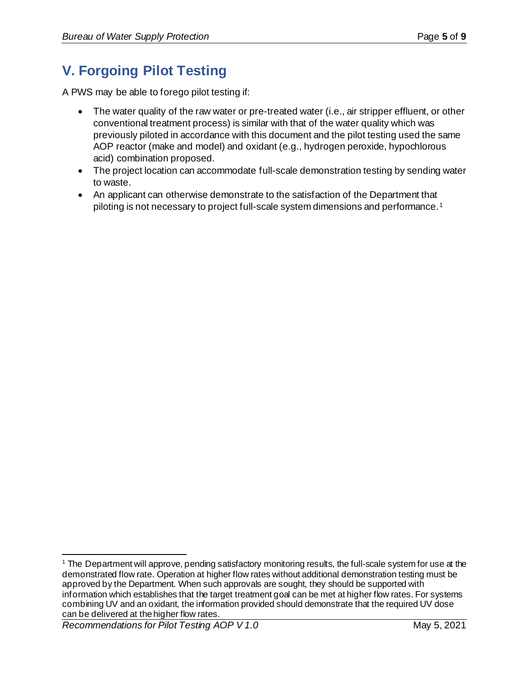# <span id="page-4-0"></span>**V. Forgoing Pilot Testing**

A PWS may be able to forego pilot testing if:

- The water quality of the raw water or pre-treated water (i.e., air stripper effluent, or other conventional treatment process) is similar with that of the water quality which was previously piloted in accordance with this document and the pilot testing used the same AOP reactor (make and model) and oxidant (e.g., hydrogen peroxide, hypochlorous acid) combination proposed.
- The project location can accommodate full-scale demonstration testing by sending water to waste.
- An applicant can otherwise demonstrate to the satisfaction of the Department that piloting is not necessary to project full-scale system dimensions and performance.[1](#page-4-1)

<span id="page-4-1"></span><sup>1</sup> The Department will approve, pending satisfactory monitoring results, the full-scale system for use at the demonstrated flow rate. Operation at higher flow rates without additional demonstration testing must be approved by the Department. When such approvals are sought, they should be supported with information which establishes that the target treatment goal can be met at higher flow rates. For systems combining UV and an oxidant, the information provided should demonstrate that the required UV dose can be delivered at the higher flow rates.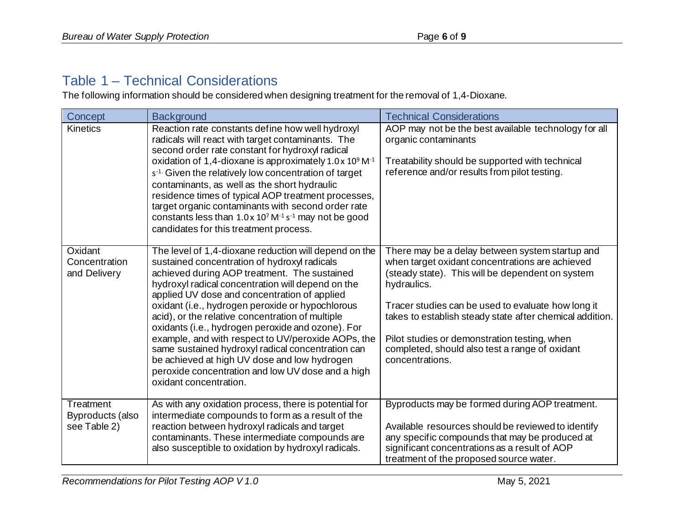### Table 1 – Technical Considerations

The following information should be considered when designing treatment for the removal of 1,4-Dioxane.

<span id="page-5-3"></span><span id="page-5-2"></span><span id="page-5-1"></span><span id="page-5-0"></span>

| Concept                                       | <b>Background</b>                                                                                                                                                                                                                                                                                                                                                                                                                                                                                                                                                                                                                                                 | <b>Technical Considerations</b>                                                                                                                                                                                                                                                                                                                                                                              |
|-----------------------------------------------|-------------------------------------------------------------------------------------------------------------------------------------------------------------------------------------------------------------------------------------------------------------------------------------------------------------------------------------------------------------------------------------------------------------------------------------------------------------------------------------------------------------------------------------------------------------------------------------------------------------------------------------------------------------------|--------------------------------------------------------------------------------------------------------------------------------------------------------------------------------------------------------------------------------------------------------------------------------------------------------------------------------------------------------------------------------------------------------------|
| <b>Kinetics</b>                               | Reaction rate constants define how well hydroxyl<br>radicals will react with target contaminants. The<br>second order rate constant for hydroxyl radical<br>oxidation of 1,4-dioxane is approximately $1.0 \times 10^9$ M <sup>-1</sup><br>s <sup>-1.</sup> Given the relatively low concentration of target<br>contaminants, as well as the short hydraulic<br>residence times of typical AOP treatment processes,<br>target organic contaminants with second order rate<br>constants less than $1.0 \times 10^7$ M <sup>-1</sup> s <sup>-1</sup> may not be good<br>candidates for this treatment process.                                                      | AOP may not be the best available technology for all<br>organic contaminants<br>Treatability should be supported with technical<br>reference and/or results from pilot testing.                                                                                                                                                                                                                              |
| Oxidant<br>Concentration<br>and Delivery      | The level of 1,4-dioxane reduction will depend on the<br>sustained concentration of hydroxyl radicals<br>achieved during AOP treatment. The sustained<br>hydroxyl radical concentration will depend on the<br>applied UV dose and concentration of applied<br>oxidant (i.e., hydrogen peroxide or hypochlorous<br>acid), or the relative concentration of multiple<br>oxidants (i.e., hydrogen peroxide and ozone). For<br>example, and with respect to UV/peroxide AOPs, the<br>same sustained hydroxyl radical concentration can<br>be achieved at high UV dose and low hydrogen<br>peroxide concentration and low UV dose and a high<br>oxidant concentration. | There may be a delay between system startup and<br>when target oxidant concentrations are achieved<br>(steady state). This will be dependent on system<br>hydraulics.<br>Tracer studies can be used to evaluate how long it<br>takes to establish steady state after chemical addition.<br>Pilot studies or demonstration testing, when<br>completed, should also test a range of oxidant<br>concentrations. |
| Treatment<br>Byproducts (also<br>see Table 2) | As with any oxidation process, there is potential for<br>intermediate compounds to form as a result of the<br>reaction between hydroxyl radicals and target<br>contaminants. These intermediate compounds are<br>also susceptible to oxidation by hydroxyl radicals.                                                                                                                                                                                                                                                                                                                                                                                              | Byproducts may be formed during AOP treatment.<br>Available resources should be reviewed to identify<br>any specific compounds that may be produced at<br>significant concentrations as a result of AOP<br>treatment of the proposed source water.                                                                                                                                                           |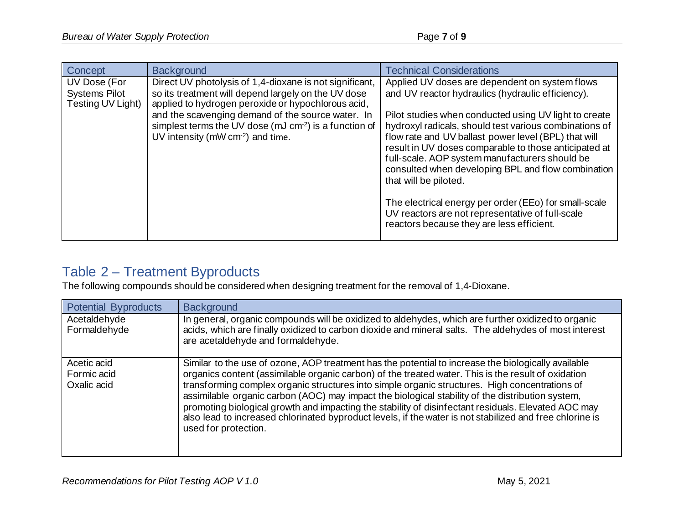| Concept                                                   | <b>Background</b>                                                                                                                                                                                                                                                                                                                  | <b>Technical Considerations</b>                                                                                                                                                                                                                                                                                                                                                                                                                                                                                                                                                                                                    |
|-----------------------------------------------------------|------------------------------------------------------------------------------------------------------------------------------------------------------------------------------------------------------------------------------------------------------------------------------------------------------------------------------------|------------------------------------------------------------------------------------------------------------------------------------------------------------------------------------------------------------------------------------------------------------------------------------------------------------------------------------------------------------------------------------------------------------------------------------------------------------------------------------------------------------------------------------------------------------------------------------------------------------------------------------|
| UV Dose (For<br><b>Systems Pilot</b><br>Testing UV Light) | Direct UV photolysis of 1,4-dioxane is not significant,<br>so its treatment will depend largely on the UV dose<br>applied to hydrogen peroxide or hypochlorous acid,<br>and the scavenging demand of the source water. In<br>simplest terms the UV dose (mJ cm <sup>2</sup> ) is a function of<br>UV intensity (mW cm-2) and time. | Applied UV doses are dependent on system flows<br>and UV reactor hydraulics (hydraulic efficiency).<br>Pilot studies when conducted using UV light to create<br>hydroxyl radicals, should test various combinations of<br>flow rate and UV ballast power level (BPL) that will<br>result in UV doses comparable to those anticipated at<br>full-scale. AOP system manufacturers should be<br>consulted when developing BPL and flow combination<br>that will be piloted.<br>The electrical energy per order (EEo) for small-scale<br>UV reactors are not representative of full-scale<br>reactors because they are less efficient. |

## <span id="page-6-2"></span><span id="page-6-1"></span><span id="page-6-0"></span>Table 2 – Treatment Byproducts

The following compounds should be considered when designing treatment for the removal of 1,4-Dioxane.

<span id="page-6-5"></span><span id="page-6-4"></span><span id="page-6-3"></span>

| <b>Potential Byproducts</b>               | <b>Background</b>                                                                                                                                                                                                                                                                                                                                                                                                                                                                                                                                                                                                                                           |
|-------------------------------------------|-------------------------------------------------------------------------------------------------------------------------------------------------------------------------------------------------------------------------------------------------------------------------------------------------------------------------------------------------------------------------------------------------------------------------------------------------------------------------------------------------------------------------------------------------------------------------------------------------------------------------------------------------------------|
| Acetaldehyde<br>Formaldehyde              | In general, organic compounds will be oxidized to aldehydes, which are further oxidized to organic<br>acids, which are finally oxidized to carbon dioxide and mineral salts. The aldehydes of most interest<br>are acetaldehyde and formaldehyde.                                                                                                                                                                                                                                                                                                                                                                                                           |
| Acetic acid<br>Formic acid<br>Oxalic acid | Similar to the use of ozone, AOP treatment has the potential to increase the biologically available<br>organics content (assimilable organic carbon) of the treated water. This is the result of oxidation<br>transforming complex organic structures into simple organic structures. High concentrations of<br>assimilable organic carbon (AOC) may impact the biological stability of the distribution system,<br>promoting biological growth and impacting the stability of disinfectant residuals. Elevated AOC may<br>also lead to increased chlorinated byproduct levels, if the water is not stabilized and free chlorine is<br>used for protection. |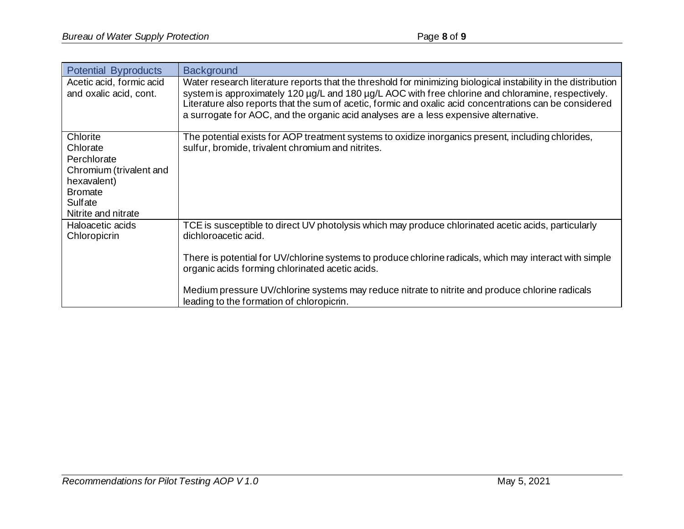<span id="page-7-1"></span><span id="page-7-0"></span>

| <b>Potential Byproducts</b>                                                                                                       | <b>Background</b>                                                                                                                                                                                                                                                                                                                                                                                                                         |
|-----------------------------------------------------------------------------------------------------------------------------------|-------------------------------------------------------------------------------------------------------------------------------------------------------------------------------------------------------------------------------------------------------------------------------------------------------------------------------------------------------------------------------------------------------------------------------------------|
| Acetic acid, formic acid<br>and oxalic acid, cont.                                                                                | Water research literature reports that the threshold for minimizing biological instability in the distribution<br>system is approximately 120 µg/L and 180 µg/L AOC with free chlorine and chloramine, respectively.<br>Literature also reports that the sum of acetic, formic and oxalic acid concentrations can be considered<br>a surrogate for AOC, and the organic acid analyses are a less expensive alternative.                   |
| Chlorite<br>Chlorate<br>Perchlorate<br>Chromium (trivalent and<br>hexavalent)<br><b>Bromate</b><br>Sulfate<br>Nitrite and nitrate | The potential exists for AOP treatment systems to oxidize inorganics present, including chlorides,<br>sulfur, bromide, trivalent chromium and nitrites.                                                                                                                                                                                                                                                                                   |
| Haloacetic acids<br>Chloropicrin                                                                                                  | TCE is susceptible to direct UV photolysis which may produce chlorinated acetic acids, particularly<br>dichloroacetic acid.<br>There is potential for UV/chlorine systems to produce chlorine radicals, which may interact with simple<br>organic acids forming chlorinated acetic acids.<br>Medium pressure UV/chlorine systems may reduce nitrate to nitrite and produce chlorine radicals<br>leading to the formation of chloropicrin. |